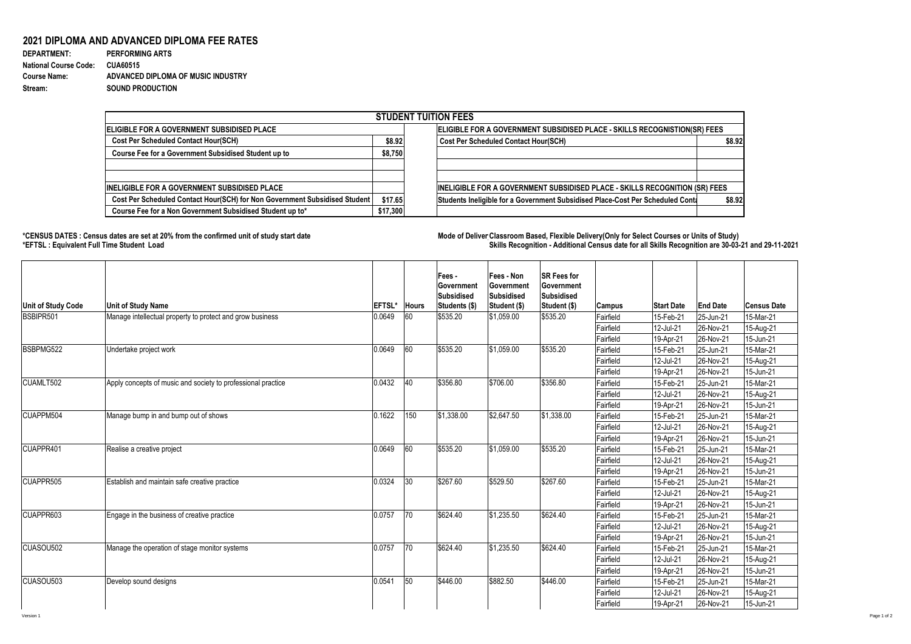## **2021 DIPLOMA AND ADVANCED DIPLOMA FEE RATES**

| <b>DEPARTMENT:</b>           | <b>PERFORMING ARTS</b>             |
|------------------------------|------------------------------------|
| <b>National Course Code:</b> | <b>CUA60515</b>                    |
| <b>Course Name:</b>          | ADVANCED DIPLOMA OF MUSIC INDUSTRY |
| Stream:                      | <b>SOUND PRODUCTION</b>            |

## \*CENSUS DATES : Census dates are set at 20% from the confirmed unit of study start date **Mode of Deliver Classroom Based, Flexible** Delivery(Only for Select Courses or Units of Study) **\*EFTSL : Equivalent Full Time Student Load Skills Recognition - Additional Census date for all Skills Recognition are 30-03-21 and 29-11-2021**

|                                                                            |          |        | <b>STUDENT TUITION FEES</b>                                                    |        |  |  |  |  |
|----------------------------------------------------------------------------|----------|--------|--------------------------------------------------------------------------------|--------|--|--|--|--|
| ELIGIBLE FOR A GOVERNMENT SUBSIDISED PLACE                                 |          |        | ELIGIBLE FOR A GOVERNMENT SUBSIDISED PLACE - SKILLS RECOGNISTION(SR) FEES      |        |  |  |  |  |
| <b>Cost Per Scheduled Contact Hour(SCH)</b>                                |          | \$8.92 | <b>Cost Per Scheduled Contact Hour(SCH)</b>                                    | \$8.92 |  |  |  |  |
| <b>Course Fee for a Government Subsidised Student up to</b>                | \$8,750  |        |                                                                                |        |  |  |  |  |
|                                                                            |          |        |                                                                                |        |  |  |  |  |
|                                                                            |          |        |                                                                                |        |  |  |  |  |
| <b>INELIGIBLE FOR A GOVERNMENT SUBSIDISED PLACE</b>                        |          |        | INELIGIBLE FOR A GOVERNMENT SUBSIDISED PLACE - SKILLS RECOGNITION (SR) FEES    |        |  |  |  |  |
| Cost Per Scheduled Contact Hour(SCH) for Non Government Subsidised Student | \$17.65  |        | Students Ineligible for a Government Subsidised Place-Cost Per Scheduled Conta | \$8.92 |  |  |  |  |
| Course Fee for a Non Government Subsidised Student up to*                  | \$17,300 |        |                                                                                |        |  |  |  |  |
|                                                                            |          |        |                                                                                |        |  |  |  |  |

|                                        |                                                              |                |                    | Fees -<br><b>Sovernment</b><br><b>Subsidised</b> | <b>Fees - Non</b><br>Government<br>Subsidised | <b>SR Fees for</b><br><b>Government</b><br><b>Subsidised</b> |                        |                        |                           |                        |
|----------------------------------------|--------------------------------------------------------------|----------------|--------------------|--------------------------------------------------|-----------------------------------------------|--------------------------------------------------------------|------------------------|------------------------|---------------------------|------------------------|
| <b>Unit of Study Code</b><br>BSBIPR501 | <b>Unit of Study Name</b>                                    | <b>EFTSL</b> ' | <b>Hours</b><br>60 | Students (\$)                                    | Student (\$)                                  | Student (\$)                                                 | <b>Campus</b>          | <b>Start Date</b>      | <b>End Date</b>           | <b>Census Date</b>     |
|                                        | Manage intellectual property to protect and grow business    | 0.0649         |                    | \$535.20                                         | $ \$1,059.00$                                 | \$535.20                                                     | Fairfield              | 15-Feb-21              | 25-Jun-21                 | 15-Mar-21              |
|                                        |                                                              |                |                    |                                                  |                                               |                                                              | Fairfield<br>Fairfield | 12-Jul-21<br>19-Apr-21 | 26-Nov-21<br>$ 26-Nov-21$ | 15-Aug-21<br>15-Jun-21 |
| BSBPMG522                              | Undertake project work                                       | 0.0649         | 60                 | \$535.20                                         | \$1,059.00                                    | \$535.20                                                     | Fairfield              | 15-Feb-21              | 25-Jun-21                 | 15-Mar-21              |
|                                        |                                                              |                |                    |                                                  |                                               |                                                              | Fairfield              | 12-Jul-21              | 26-Nov-21                 | 15-Aug-21              |
|                                        |                                                              |                |                    |                                                  |                                               |                                                              | Fairfield              | 19-Apr-21              | 26-Nov-21                 | 15-Jun-21              |
| CUAMLT502                              | Apply concepts of music and society to professional practice | 0.0432         | 40                 | \$356.80                                         | \$706.00                                      | \$356.80                                                     | Fairfield              | 15-Feb-21              | 25-Jun-21                 | 15-Mar-21              |
|                                        |                                                              |                |                    |                                                  |                                               |                                                              | Fairfield              | 12-Jul-21              | 26-Nov-21                 | 15-Aug-21              |
|                                        |                                                              |                |                    |                                                  |                                               |                                                              | Fairfield              | 19-Apr-21              | 26-Nov-21                 | 15-Jun-21              |
| CUAPPM504                              | Manage bump in and bump out of shows                         | 0.1622         | 150                | \$1,338.00                                       | \$2,647.50                                    | \$1,338.00                                                   | Fairfield              | 15-Feb-21              | 25-Jun-21                 | 15-Mar-21              |
|                                        |                                                              |                |                    |                                                  |                                               |                                                              | Fairfield              | 12-Jul-21              | 26-Nov-21                 | 15-Aug-21              |
|                                        |                                                              |                |                    |                                                  |                                               |                                                              | Fairfield              | 19-Apr-21              | 26-Nov-21                 | 15-Jun-21              |
| CUAPPR401                              | Realise a creative project                                   | 0.0649         | 60                 | \$535.20                                         | \$1,059.00                                    | \$535.20                                                     | Fairfield              | 15-Feb-21              | 25-Jun-21                 | 15-Mar-21              |
|                                        |                                                              |                |                    |                                                  |                                               |                                                              | Fairfield              | 12-Jul-21              | 26-Nov-21                 | 15-Aug-21              |
|                                        |                                                              |                |                    |                                                  |                                               |                                                              | Fairfield              | 19-Apr-21              | 26-Nov-21                 | 15-Jun-21              |
| CUAPPR505                              | <b>Establish and maintain safe creative practice</b>         | 0.0324         | 30                 | \$267.60                                         | \$529.50                                      | \$267.60                                                     | Fairfield              | 15-Feb-21              | 25-Jun-21                 | 15-Mar-21              |
|                                        |                                                              |                |                    |                                                  |                                               |                                                              | Fairfield              | 12-Jul-21              | 26-Nov-21                 | 15-Aug-21              |
|                                        |                                                              |                |                    |                                                  |                                               |                                                              | Fairfield              | 19-Apr-21              | 26-Nov-21                 | 15-Jun-21              |
| CUAPPR603                              | Engage in the business of creative practice                  | 0.0757         | 70                 | \$624.40                                         | \$1,235.50                                    | \$624.40                                                     | Fairfield              | 15-Feb-21              | 25-Jun-21                 | 15-Mar-21              |
|                                        |                                                              |                |                    |                                                  |                                               |                                                              | Fairfield              | 12-Jul-21              | 26-Nov-21                 | 15-Aug-21              |
|                                        |                                                              |                |                    |                                                  |                                               |                                                              | Fairfield              | 19-Apr-21              | $ 26-Nov-21$              | 15-Jun-21              |
| CUASOU502                              | Manage the operation of stage monitor systems                | 0.0757         | 70                 | \$624.40                                         | \$1,235.50                                    | \$624.40                                                     | Fairfield              | 15-Feb-21              | $ 25 - Jun-21$            | 15-Mar-21              |
|                                        |                                                              |                |                    |                                                  |                                               |                                                              | Fairfield              | 12-Jul-21              | $ 26-Nov-21$              | 15-Aug-21              |
|                                        |                                                              |                |                    |                                                  |                                               |                                                              | Fairfield              | 19-Apr-21              | $ 26-Nov-21$              | 15-Jun-21              |
| CUASOU503                              | Develop sound designs                                        | 0.0541         | 50                 | \$446.00                                         | \$882.50                                      | \$446.00                                                     | Fairfield              | 15-Feb-21              | $ 25 - Jun-21 $           | 15-Mar-21              |
|                                        |                                                              |                |                    |                                                  |                                               |                                                              | Fairfield              | 12-Jul-21              | 26-Nov-21                 | 15-Aug-21              |
|                                        |                                                              |                |                    |                                                  |                                               |                                                              | Fairfield              | 19-Apr-21              | $ 26-Nov-21$              | 15-Jun-21              |

Version 1 Page 1 of 2